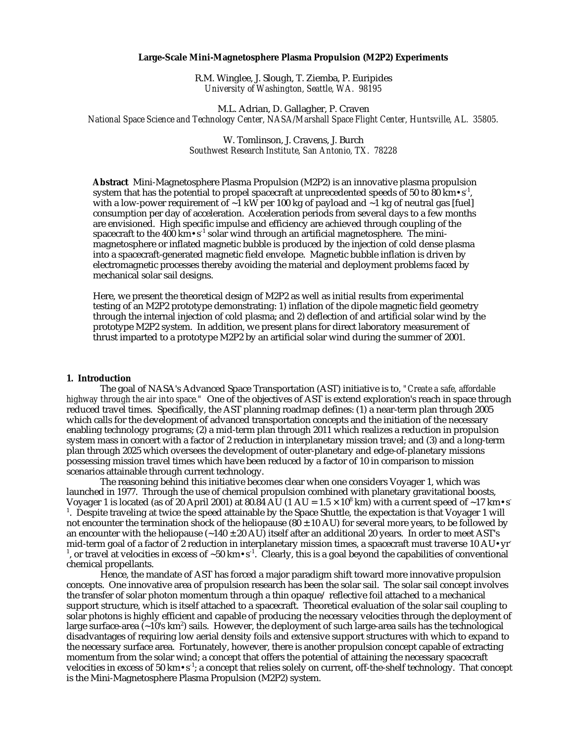## **Large-Scale Mini-Magnetosphere Plasma Propulsion (M2P2) Experiments**

R.M. Winglee, J. Slough, T. Ziemba, P. Euripides *University of Washington, Seattle, WA. 98195*

M.L. Adrian, D. Gallagher, P. Craven *National Space Science and Technology Center, NASA/Marshall Space Flight Center, Huntsville, AL. 35805.*

> W. Tomlinson, J. Cravens, J. Burch *Southwest Research Institute, San Antonio, TX. 78228*

**Abstract** Mini-Magnetosphere Plasma Propulsion (M2P2) is an innovative plasma propulsion system that has the potential to propel spacecraft at unprecedented speeds of 50 to 80 km $\cdot$ s<sup>-1</sup>, with a low-power requirement of  $\sim$ 1 kW per 100 kg of payload and  $\sim$ 1 kg of neutral gas [fuel] consumption per day of acceleration. Acceleration periods from several days to a few months are envisioned. High specific impulse and efficiency are achieved through coupling of the spacecraft to the 400 km $\cdot$ s<sup>-1</sup> solar wind through an artificial magnetosphere. The minimagnetosphere or inflated magnetic bubble is produced by the injection of cold dense plasma into a spacecraft-generated magnetic field envelope. Magnetic bubble inflation is driven by electromagnetic processes thereby avoiding the material and deployment problems faced by mechanical solar sail designs.

Here, we present the theoretical design of M2P2 as well as initial results from experimental testing of an M2P2 prototype demonstrating: 1) inflation of the dipole magnetic field geometry through the internal injection of cold plasma; and 2) deflection of and artificial solar wind by the prototype M2P2 system. In addition, we present plans for direct laboratory measurement of thrust imparted to a prototype M2P2 by an artificial solar wind during the summer of 2001.

#### **1. Introduction**

The goal of NASA's Advanced Space Transportation (AST) initiative is to, *"Create a safe, affordable highway through the air into space."* One of the objectives of AST is extend exploration's reach in space through reduced travel times. Specifically, the AST planning roadmap defines: (1) a near-term plan through 2005 which calls for the development of advanced transportation concepts and the initiation of the necessary enabling technology programs; (2) a mid-term plan through 2011 which realizes a reduction in propulsion system mass in concert with a factor of 2 reduction in interplanetary mission travel; and (3) and a long-term plan through 2025 which oversees the development of outer-planetary and edge-of-planetary missions possessing mission travel times which have been reduced by a factor of 10 in comparison to mission scenarios attainable through current technology.

The reasoning behind this initiative becomes clear when one considers Voyager 1, which was launched in 1977. Through the use of chemical propulsion combined with planetary gravitational boosts, Voyager 1 is located (as of 20 April 2001) at 80.84 AU (1 AU =  $1.5 \times 10^8$  km) with a current speed of ~17 km•s<sup>-</sup>  $^1$ . Despite traveling at twice the speed attainable by the Space Shuttle, the expectation is that Voyager 1 will not encounter the termination shock of the heliopause  $(80 \pm 10 \text{ AU})$  for several more years, to be followed by an encounter with the heliopause  $(-140 \pm 20 \text{ AU})$  itself after an additional 20 years. In order to meet AST's mid-term goal of a factor of 2 reduction in interplanetary mission times, a spacecraft must traverse 10 AU $\cdot$ yr<sup>-</sup> <sup>1</sup>, or travel at velocities in excess of ~50 km•s<sup>-1</sup>. Clearly, this is a goal beyond the capabilities of conventional chemical propellants.

Hence, the mandate of AST has forced a major paradigm shift toward more innovative propulsion concepts. One innovative area of propulsion research has been the solar sail. The solar sail concept involves the transfer of solar photon momentum through a thin opaque/ reflective foil attached to a mechanical support structure, which is itself attached to a spacecraft. Theoretical evaluation of the solar sail coupling to solar photons is highly efficient and capable of producing the necessary velocities through the deployment of large surface-area (~10's km²) sails. However, the deployment of such large-area sails has the technological disadvantages of requiring low aerial density foils and extensive support structures with which to expand to the necessary surface area. Fortunately, however, there is another propulsion concept capable of extracting momentum from the solar wind; a concept that offers the potential of attaining the necessary spacecraft velocities in excess of 50 km $\cdot$ s<sup>-1</sup>; a concept that relies solely on current, off-the-shelf technology. That concept is the Mini-Magnetosphere Plasma Propulsion (M2P2) system.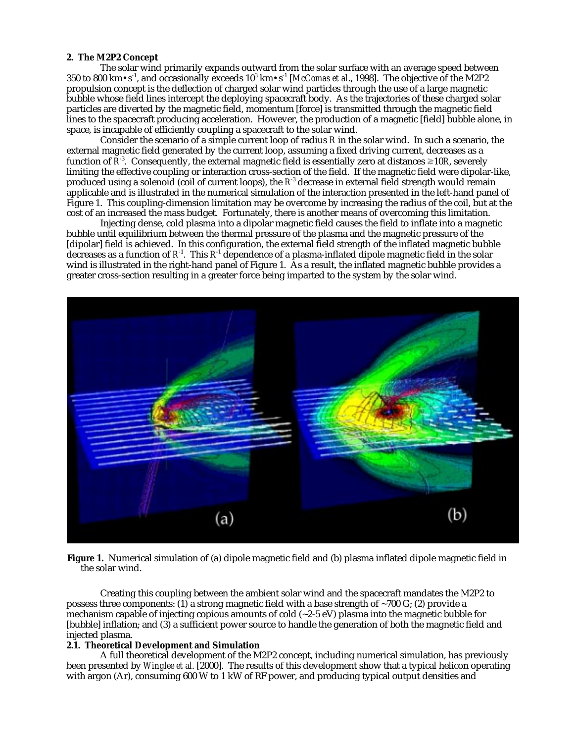## **2. The M2P2 Concept**

The solar wind primarily expands outward from the solar surface with an average speed between  $350$  to  $800\rm\ km\text{-}s^{-1}$ , and occasionally exceeds  $10^3\rm\ km\text{-}s^{-1}$  [*McComas et al*., 1998]. The objective of the M2P2 propulsion concept is the deflection of charged solar wind particles through the use of a large magnetic bubble whose field lines intercept the deploying spacecraft body. As the trajectories of these charged solar particles are diverted by the magnetic field, momentum [force] is transmitted through the magnetic field lines to the spacecraft producing acceleration. However, the production of a magnetic [field] bubble alone, in space, is incapable of efficiently coupling a spacecraft to the solar wind.

Consider the scenario of a simple current loop of radius *R* in the solar wind. In such a scenario, the external magnetic field generated by the current loop, assuming a fixed driving current, decreases as a function of  $R^3$ . Consequently, the external magnetic field is essentially zero at distances  $\geq 10R$ , severely limiting the effective coupling or interaction cross-section of the field. If the magnetic field were dipolar-like, produced using a solenoid (coil of current loops), the  $R^3$  decrease in external field strength would remain applicable and is illustrated in the numerical simulation of the interaction presented in the left-hand panel of Figure 1. This coupling-dimension limitation may be overcome by increasing the radius of the coil, but at the cost of an increased the mass budget. Fortunately, there is another means of overcoming this limitation.

Injecting dense, cold plasma into a dipolar magnetic field causes the field to inflate into a magnetic bubble until equilibrium between the thermal pressure of the plasma and the magnetic pressure of the [dipolar] field is achieved. In this configuration, the external field strength of the inflated magnetic bubble decreases as a function of  $R<sup>1</sup>$ . This  $R<sup>1</sup>$  dependence of a plasma-inflated dipole magnetic field in the solar wind is illustrated in the right-hand panel of Figure 1. As a result, the inflated magnetic bubble provides a greater cross-section resulting in a greater force being imparted to the system by the solar wind.



**Figure 1.** Numerical simulation of (a) dipole magnetic field and (b) plasma inflated dipole magnetic field in the solar wind.

Creating this coupling between the ambient solar wind and the spacecraft mandates the M2P2 to possess three components: (1) a strong magnetic field with a base strength of  $\sim$ 700 G; (2) provide a mechanism capable of injecting copious amounts of cold  $(-2.5 \text{ eV})$  plasma into the magnetic bubble for [bubble] inflation; and (3) a sufficient power source to handle the generation of both the magnetic field and injected plasma.

## **2.1. Theoretical Development and Simulation**

A full theoretical development of the M2P2 concept, including numerical simulation, has previously been presented by *Winglee et al*. [2000]. The results of this development show that a typical helicon operating with argon (Ar), consuming 600 W to 1 kW of RF power, and producing typical output densities and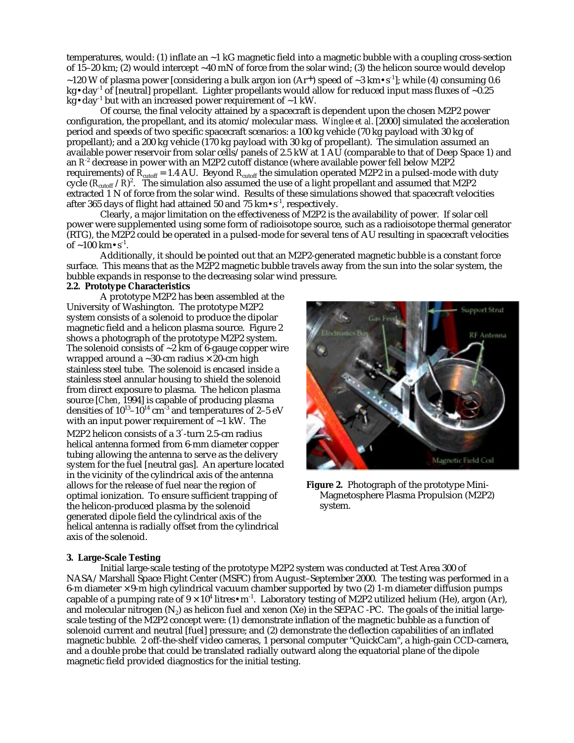temperatures, would: (1) inflate an ~1 kG magnetic field into a magnetic bubble with a coupling cross-section of 15–20 km; (2) would intercept ~40 mN of force from the solar wind; (3) the helicon source would develop ~120 W of plasma power [considering a bulk argon ion  $(Ar^+)$  speed of ~3 km $\cdot s^{-1}$ ]; while (4) consuming 0.6  $kg \cdot day^{-1}$  of [neutral] propellant. Lighter propellants would allow for reduced input mass fluxes of  $\sim 0.25$ kg•day<sup>-1</sup> but with an increased power requirement of  $\sim$ 1 kW.

Of course, the final velocity attained by a spacecraft is dependent upon the chosen M2P2 power configuration, the propellant, and its atomic/molecular mass. *Winglee et al*. [2000] simulated the acceleration period and speeds of two specific spacecraft scenarios: a 100 kg vehicle (70 kg payload with 30 kg of propellant); and a 200 kg vehicle (170 kg payload with 30 kg of propellant). The simulation assumed an available power reservoir from solar cells/panels of 2.5 kW at 1 AU (comparable to that of Deep Space 1) and an *R*-2 decrease in power with an M2P2 cutoff distance (where available power fell below M2P2 requirements) of  $R_{\rm cutoff}$  = 1.4 AU. Beyond  $R_{\rm cutoff}$  the simulation operated M2P2 in a pulsed-mode with duty cycle ( $R_{\rm cutoff}$  / $R$ )<sup>2</sup>. The simulation also assumed the use of a light propellant and assumed that M2P2 extracted 1 N of force from the solar wind. Results of these simulations showed that spacecraft velocities after 365 days of flight had attained 50 and 75  $km \cdot s^{-1}$ , respectively.

Clearly, a major limitation on the effectiveness of M2P2 is the availability of power. If solar cell power were supplemented using some form of radioisotope source, such as a radioisotope thermal generator (RTG), the M2P2 could be operated in a pulsed-mode for several tens of AU resulting in spacecraft velocities of  $\sim$ 100 km $\cdot$ s<sup>-1</sup>.

Additionally, it should be pointed out that an M2P2-generated magnetic bubble is a constant force surface. This means that as the M2P2 magnetic bubble travels away from the sun into the solar system, the bubble expands in response to the decreasing solar wind pressure.

# **2.2. Prototype Characteristics**

A prototype M2P2 has been assembled at the University of Washington. The prototype M2P2 system consists of a solenoid to produce the dipolar magnetic field and a helicon plasma source. Figure 2 shows a photograph of the prototype M2P2 system. The solenoid consists of  $\sim$ 2 km of 6-gauge copper wire wrapped around a  $\sim$ 30-cm radius  $\times$  20-cm high stainless steel tube. The solenoid is encased inside a stainless steel annular housing to shield the solenoid from direct exposure to plasma. The helicon plasma source [*Chen*, 1994] is capable of producing plasma densities of  $10^{13}$ – $10^{14}$  cm<sup>-3</sup> and temperatures of 2–5 eV with an input power requirement of  $\sim$ 1 kW. The M2P2 helicon consists of a 3´-turn 2.5-cm radius helical antenna formed from 6-mm diameter copper tubing allowing the antenna to serve as the delivery system for the fuel [neutral gas]. An aperture located in the vicinity of the cylindrical axis of the antenna allows for the release of fuel near the region of optimal ionization. To ensure sufficient trapping of the helicon-produced plasma by the solenoid generated dipole field the cylindrical axis of the helical antenna is radially offset from the cylindrical axis of the solenoid.



**Figure 2.** Photograph of the prototype Mini-Magnetosphere Plasma Propulsion (M2P2) system.

# **3. Large-Scale Testing**

Initial large-scale testing of the prototype M2P2 system was conducted at Test Area 300 of NASA/Marshall Space Flight Center (MSFC) from August-September 2000. The testing was performed in a 6-m diameter  $\times$  9-m high cylindrical vacuum chamber supported by two (2) 1-m diameter diffusion pumps capable of a pumping rate of  $9 \times 10^4$  litres•m<sup>-1</sup>. Laboratory testing of M2P2 utilized helium (He), argon (Ar), and molecular nitrogen  $(N_2)$  as helicon fuel and xenon  $(Xe)$  in the SEPAC -PC. The goals of the initial largescale testing of the M2P2 concept were: (1) demonstrate inflation of the magnetic bubble as a function of solenoid current and neutral [fuel] pressure; and (2) demonstrate the deflection capabilities of an inflated magnetic bubble. 2 off-the-shelf video cameras, 1 personal computer "QuickCam", a high-gain CCD-camera, and a double probe that could be translated radially outward along the equatorial plane of the dipole magnetic field provided diagnostics for the initial testing.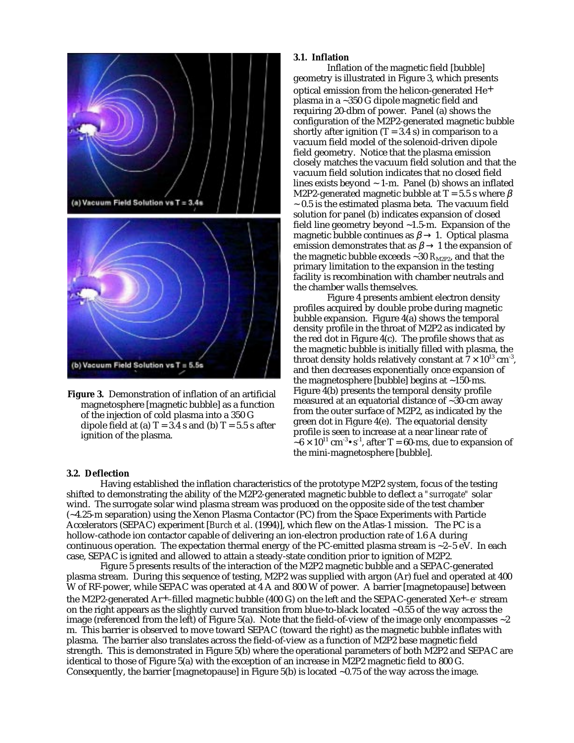

**Figure 3.** Demonstration of inflation of an artificial magnetosphere [magnetic bubble] as a function of the injection of cold plasma into a 350 G dipole field at (a)  $T = 3.4$  s and (b)  $T = 5.5$  s after ignition of the plasma.

#### **3.1. Inflation**

Inflation of the magnetic field [bubble] geometry is illustrated in Figure 3, which presents optical emission from the helicon-generated He+ plasma in a ~350 G dipole magnetic field and requiring 20-dbm of power. Panel (a) shows the configuration of the M2P2-generated magnetic bubble shortly after ignition  $(T = 3.4 \text{ s})$  in comparison to a vacuum field model of the solenoid-driven dipole field geometry. Notice that the plasma emission closely matches the vacuum field solution and that the vacuum field solution indicates that no closed field lines exists beyond  $\sim$  1-m. Panel (b) shows an inflated M2P2-generated magnetic bubble at T = 5.5 s where  $\beta$  $\sim$  0.5 is the estimated plasma beta. The vacuum field solution for panel (b) indicates expansion of closed field line geometry beyond ~1.5-m. Expansion of the magnetic bubble continues as  $\beta \rightarrow 1$ . Optical plasma emission demonstrates that as  $\beta \rightarrow 1$  the expansion of the magnetic bubble exceeds  $\sim$  30  $R_{\text{M2P2}}$ , and that the primary limitation to the expansion in the testing facility is recombination with chamber neutrals and the chamber walls themselves.

Figure 4 presents ambient electron density profiles acquired by double probe during magnetic bubble expansion. Figure 4(a) shows the temporal density profile in the throat of M2P2 as indicated by the red dot in Figure 4(c). The profile shows that as the magnetic bubble is initially filled with plasma, the throat density holds relatively constant at  $7 \times 10^{13}$  cm<sup>-3</sup>, and then decreases exponentially once expansion of the magnetosphere [bubble] begins at ~150-ms. Figure 4(b) presents the temporal density profile measured at an equatorial distance of ~30-cm away from the outer surface of M2P2, as indicated by the green dot in Figure 4(e). The equatorial density profile is seen to increase at a near linear rate of  $\sim 6 \times 10^{11}$  cm<sup>-3</sup>•s<sup>-1</sup>, after T = 60-ms, due to expansion of the mini-magnetosphere [bubble].

#### **3.2. Deflection**

Having established the inflation characteristics of the prototype M2P2 system, focus of the testing shifted to demonstrating the ability of the M2P2-generated magnetic bubble to deflect a *"surrogate"* solar wind. The surrogate solar wind plasma stream was produced on the opposite side of the test chamber (~4.25-m separation) using the Xenon Plasma Contactor (PC) from the Space Experiments with Particle Accelerators (SEPAC) experiment [*Burch et al*. (1994)], which flew on the Atlas-1 mission. The PC is a hollow-cathode ion contactor capable of delivering an ion-electron production rate of 1.6 A during continuous operation. The expectation thermal energy of the PC-emitted plasma stream is ~2–5 eV. In each case, SEPAC is ignited and allowed to attain a steady-state condition prior to ignition of M2P2.

Figure 5 presents results of the interaction of the M2P2 magnetic bubble and a SEPAC-generated plasma stream. During this sequence of testing, M2P2 was supplied with argon (Ar) fuel and operated at 400 W of RF-power, while SEPAC was operated at 4 A and 800 W of power. A barrier [magnetopause] between the M2P2-generated Ar+-filled magnetic bubble (400 G) on the left and the SEPAC-generated Xe+-e<sup>-</sup> stream on the right appears as the slightly curved transition from blue-to-black located ~0.55 of the way across the image (referenced from the left) of Figure 5(a). Note that the field-of-view of the image only encompasses  $\sim$ 2 m. This barrier is observed to move toward SEPAC (toward the right) as the magnetic bubble inflates with plasma. The barrier also translates across the field-of-view as a function of M2P2 base magnetic field strength. This is demonstrated in Figure 5(b) where the operational parameters of both M2P2 and SEPAC are identical to those of Figure 5(a) with the exception of an increase in M2P2 magnetic field to 800 G. Consequently, the barrier [magnetopause] in Figure 5(b) is located ~0.75 of the way across the image.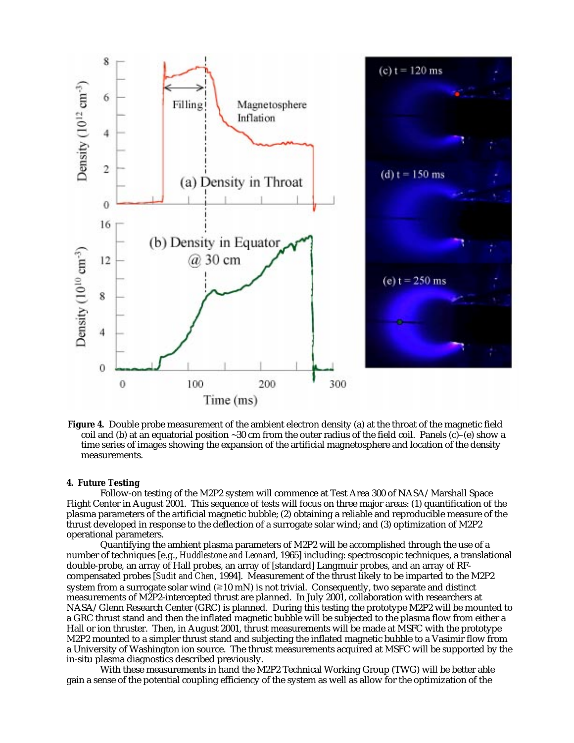

**Figure 4.** Double probe measurement of the ambient electron density (a) at the throat of the magnetic field coil and (b) at an equatorial position  $\sim 30$  cm from the outer radius of the field coil. Panels (c)–(e) show a time series of images showing the expansion of the artificial magnetosphere and location of the density measurements.

### **4. Future Testing**

Follow-on testing of the M2P2 system will commence at Test Area 300 of NASA/Marshall Space Flight Center in August 2001. This sequence of tests will focus on three major areas: (1) quantification of the plasma parameters of the artificial magnetic bubble; (2) obtaining a reliable and reproducible measure of the thrust developed in response to the deflection of a surrogate solar wind; and (3) optimization of M2P2 operational parameters.

Quantifying the ambient plasma parameters of M2P2 will be accomplished through the use of a number of techniques [e.g., *Huddlestone and Leonard*, 1965] including: spectroscopic techniques, a translational double-probe, an array of Hall probes, an array of [standard] Langmuir probes, and an array of RFcompensated probes [*Sudit and Chen*, 1994]. Measurement of the thrust likely to be imparted to the M2P2 system from a surrogate solar wind  $(=10 \text{ mN})$  is not trivial. Consequently, two separate and distinct measurements of M2P2-intercepted thrust are planned. In July 2001, collaboration with researchers at NASA/Glenn Research Center (GRC) is planned. During this testing the prototype M2P2 will be mounted to a GRC thrust stand and then the inflated magnetic bubble will be subjected to the plasma flow from either a Hall or ion thruster. Then, in August 2001, thrust measurements will be made at MSFC with the prototype M2P2 mounted to a simpler thrust stand and subjecting the inflated magnetic bubble to a Vasimir flow from a University of Washington ion source. The thrust measurements acquired at MSFC will be supported by the in-situ plasma diagnostics described previously.

With these measurements in hand the M2P2 Technical Working Group (TWG) will be better able gain a sense of the potential coupling efficiency of the system as well as allow for the optimization of the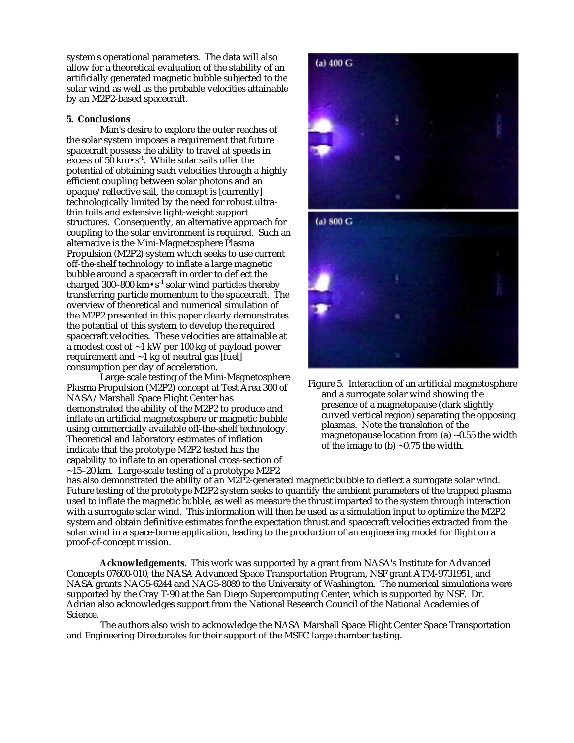system's operational parameters. The data will also allow for a theoretical evaluation of the stability of an artificially generated magnetic bubble subjected to the solar wind as well as the probable velocities attainable by an M2P2-based spacecraft.

## **5. Conclusions**

Man's desire to explore the outer reaches of the solar system imposes a requirement that future spacecraft possess the ability to travel at speeds in excess of  $50 \text{ km} \cdot \text{s}^{-1}$ . While solar sails offer the potential of obtaining such velocities through a highly efficient coupling between solar photons and an opaque/reflective sail, the concept is [currently] technologically limited by the need for robust ultrathin foils and extensive light-weight support structures. Consequently, an alternative approach for coupling to the solar environment is required. Such an alternative is the Mini-Magnetosphere Plasma Propulsion (M2P2) system which seeks to use current off-the-shelf technology to inflate a large magnetic bubble around a spacecraft in order to deflect the charged 300–800  $\rm km \cdot s^{-1}$  solar wind particles thereby transferring particle momentum to the spacecraft. The overview of theoretical and numerical simulation of the M2P2 presented in this paper clearly demonstrates the potential of this system to develop the required spacecraft velocities. These velocities are attainable at a modest cost of ~1 kW per 100 kg of payload power requirement and  $\sim$ 1 kg of neutral gas [fuel] consumption per day of acceleration.

Large-scale testing of the Mini-Magnetosphere Plasma Propulsion (M2P2) concept at Test Area 300 of NASA/Marshall Space Flight Center has demonstrated the ability of the M2P2 to produce and inflate an artificial magnetosphere or magnetic bubble using commercially available off-the-shelf technology. Theoretical and laboratory estimates of inflation indicate that the prototype M2P2 tested has the capability to inflate to an operational cross-section of  $\sim$ 15–20 km. Large-scale testing of a prototype M2P2



Figure 5. Interaction of an artificial magnetosphere and a surrogate solar wind showing the presence of a magnetopause (dark slightly curved vertical region) separating the opposing plasmas. Note the translation of the magnetopause location from (a)  $\sim$ 0.55 the width of the image to  $(b)$  ~0.75 the width.

has also demonstrated the ability of an M2P2-generated magnetic bubble to deflect a surrogate solar wind. Future testing of the prototype M2P2 system seeks to quantify the ambient parameters of the trapped plasma used to inflate the magnetic bubble, as well as measure the thrust imparted to the system through interaction with a surrogate solar wind. This information will then be used as a simulation input to optimize the M2P2 system and obtain definitive estimates for the expectation thrust and spacecraft velocities extracted from the solar wind in a space-borne application, leading to the production of an engineering model for flight on a proof-of-concept mission.

**Acknowledgements.** This work was supported by a grant from NASA's Institute for Advanced Concepts 07600-010, the NASA Advanced Space Transportation Program, NSF grant ATM-9731951, and NASA grants NAG5-6244 and NAG5-8089 to the University of Washington. The numerical simulations were supported by the Cray T-90 at the San Diego Supercomputing Center, which is supported by NSF. Dr. Adrian also acknowledges support from the National Research Council of the National Academies of Science.

The authors also wish to acknowledge the NASA Marshall Space Flight Center Space Transportation and Engineering Directorates for their support of the MSFC large chamber testing.